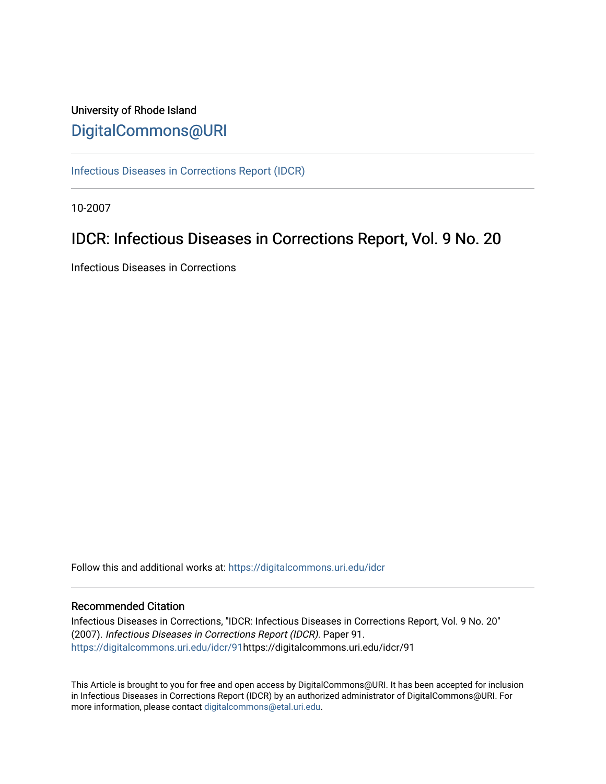# University of Rhode Island [DigitalCommons@URI](https://digitalcommons.uri.edu/)

[Infectious Diseases in Corrections Report \(IDCR\)](https://digitalcommons.uri.edu/idcr)

10-2007

# IDCR: Infectious Diseases in Corrections Report, Vol. 9 No. 20

Infectious Diseases in Corrections

Follow this and additional works at: [https://digitalcommons.uri.edu/idcr](https://digitalcommons.uri.edu/idcr?utm_source=digitalcommons.uri.edu%2Fidcr%2F91&utm_medium=PDF&utm_campaign=PDFCoverPages)

## Recommended Citation

Infectious Diseases in Corrections, "IDCR: Infectious Diseases in Corrections Report, Vol. 9 No. 20" (2007). Infectious Diseases in Corrections Report (IDCR). Paper 91. [https://digitalcommons.uri.edu/idcr/91h](https://digitalcommons.uri.edu/idcr/91?utm_source=digitalcommons.uri.edu%2Fidcr%2F91&utm_medium=PDF&utm_campaign=PDFCoverPages)ttps://digitalcommons.uri.edu/idcr/91

This Article is brought to you for free and open access by DigitalCommons@URI. It has been accepted for inclusion in Infectious Diseases in Corrections Report (IDCR) by an authorized administrator of DigitalCommons@URI. For more information, please contact [digitalcommons@etal.uri.edu.](mailto:digitalcommons@etal.uri.edu)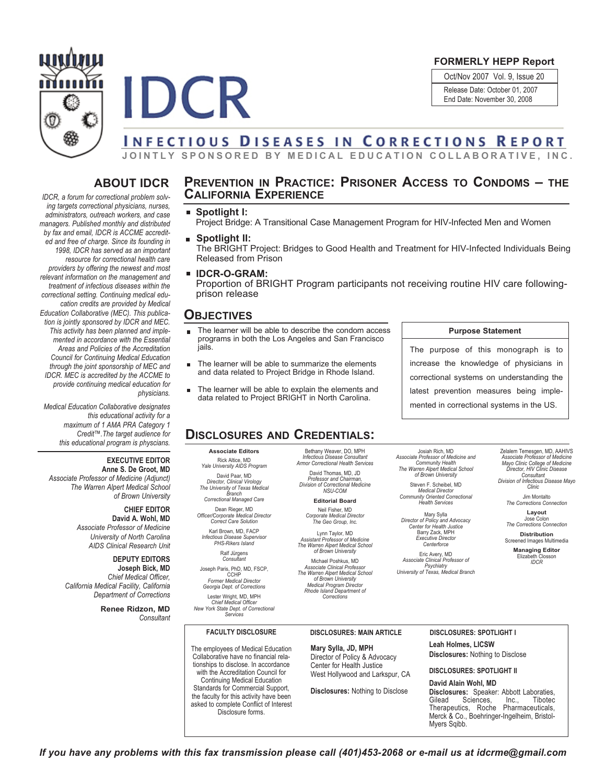



#### **FORMERLY HEPP Report**

Oct/Nov 2007 Vol. 9, Issue 20 Release Date: October 01, 2007 End Date: November 30, 2008

# **INFECTIOUS DISEASES IN CORRECTIONS REPORT**

JOINTLY SPONSORED BY MEDICAL EDUCATION COLLABORATIVE, INC.

# **ABOUT IDCR**

*IDCR, a forum for correctional problem solving targets correctional physicians, nurses, administrators, outreach workers, and case managers. Published monthly and distributed by fax and email, IDCR is ACCME accredited and free of charge. Since its founding in 1998, IDCR has served as an important resource for correctional health care providers by offering the newest and most relevant information on the management and treatment of infectious diseases within the correctional setting. Continuing medical education credits are provided by Medical Education Collaborative (MEC). This publication is jointly sponsored by IDCR and MEC. This activity has been planned and implemented in accordance with the Essential Areas and Policies of the Accreditation Council for Continuing Medical Education through the joint sponsorship of MEC and IDCR. MEC is accredited by the ACCME to provide continuing medical education for physicians.*

*Medical Education Collaborative designates this educational activity for a maximum of 1 AMA PRA Category 1 Credit™.The target audience for this educational program is physcians.*

#### **EXECUTIVE EDITOR**

**Anne S. De Groot, MD** *Associate Professor of Medicine (Adjunct) The Warren Alpert Medical School of Brown University*

> **CHIEF EDITOR David A. Wohl, MD** *Associate Professor of Medicine University of North Carolina AIDS Clinical Research Unit*

#### **DEPUTY EDITORS**

**Joseph Bick, MD** *Chief Medical Officer, California Medical Facility, California Department of Corrections*

> **Renee Ridzon, MD** *Consultant*

## **PREVENTION IN PRACTICE: PRISONER ACCESS TO CONDOMS – THE CALIFORNIA EXPERIENCE**

- **Spotlight I:** Project Bridge: A Transitional Case Management Program for HIV-Infected Men and Women
- **Spotlight II:** The BRIGHT Project: Bridges to Good Health and Treatment for HIV-Infected Individuals Being Released from Prison
- **IDCR-O-GRAM:** Proportion of BRIGHT Program participants not receiving routine HIV care followingprison release

## **OBJECTIVES**

- The learner will be able to describe the condom access programs in both the Los Angeles and San Francisco jails.
- The learner will be able to summarize the elements  $\blacksquare$ and data related to Project Bridge in Rhode Island.
- The learner will be able to explain the elements and data related to Project BRIGHT in North Carolina.

# **DISCLOSURES AND CREDENTIALS:**

**Associate Editors** Rick Altice, MD *Yale University AIDS Program* David Paar, MD

*Director, Clinical Virology The University of Texas Medical Branch Correctional Managed Care*

Dean Rieger, MD *Officer/Corporate Medical Director Correct Care Solution*

Karl Brown, MD, FACP *Infectious Disease Supervisor PHS-Rikers Island*

Ralf Jürgens *Consultant* Joseph Paris, PhD, MD, FSCP,

CCHP *Former Medical Director Georgia Dept. of Corrections* Lester Wright, MD, MPH *Chief Medical Officer New York State Dept. of Correctional*

*Services*

Bethany Weaver, DO, MPH *Infectious Disease Consultant Armor Correctional Health Services* David Thomas, MD, JD<br>Professor and Chairman.

*Professor and Chairman, Division of Correctional Medicine NSU-COM* **Editorial Board**

Neil Fisher, MD *Corporate Medical Director The Geo Group, Inc.*

Lynn Taylor, MD *Assistant Professor of Medicine The Warren Alpert Medical School of Brown University*

Michael Poshkus, MD *Associate Clinical Professor The Warren Alpert Medical School of Brown University Medical Program Director Rhode Island Department of Corrections*

Josiah Rich, MD *Associate Professor of Medicine and Community Health The Warren Alpert Medical School of Brown University*

Steven F. Scheibel, MD *Medical Director Community Oriented Correctional Health Services*

Mary Sylla *Director of Policy and Advocacy Center for Health Justice* Barry Zack, MPH *Executive Director*

*Centerforce* Eric Avery, MD *Associate Clinical Professor of Psychiatry University of Texas, Medical Branch*

Zelalem Temesgen, MD, AAHIVS *Associate Professor of Medicine Mayo Clinic College of Medicine Director, HIV Clinic Disease Consultant Division of Infectious Disease Mayo Clinic*

> Jim Montalto *The Corrections Connection*

> **Layout** Jose Colon *The Corrections Connection*

**Distribution** Screened Images Multimedia

**Managing Editor** Elizabeth Closson *IDCR*

#### **FACULTY DISCLOSURE**

The employees of Medical Education Collaborative have no financial relationships to disclose. In accordance with the Accreditation Council for Continuing Medical Education Standards for Commercial Support, the faculty for this activity have been asked to complete Conflict of Interest Disclosure forms.

**Mary Sylla, JD, MPH** Director of Policy & Advocacy Center for Health Justice West Hollywood and Larkspur, CA

**Disclosures:** Nothing to Disclose

**DISCLOSURES: MAIN ARTICLE DISCLOSURES: SPOTLIGHT I Leah Holmes, LICSW**

**Disclosures:** Nothing to Disclose

**DISCLOSURES: SPOTLIGHT II**

**David Alain Wohl, MD Disclosures:** Speaker: Abbott Laboraties,<br>Gilead Sciences, Inc., Tibotec Gilead Sciences, Inc., Tibotec Therapeutics, Roche Pharmaceuticals, Merck & Co., Boehringer-Ingelheim, Bristol-Myers Sqibb.

If you have any problems with this fax transmission please call (401)453-2068 or e-mail us at idcrme@gmail.com

# **Purpose Statement**

The purpose of this monograph is to increase the knowledge of physicians in correctional systems on understanding the latest prevention measures being implemented in correctional systems in the US.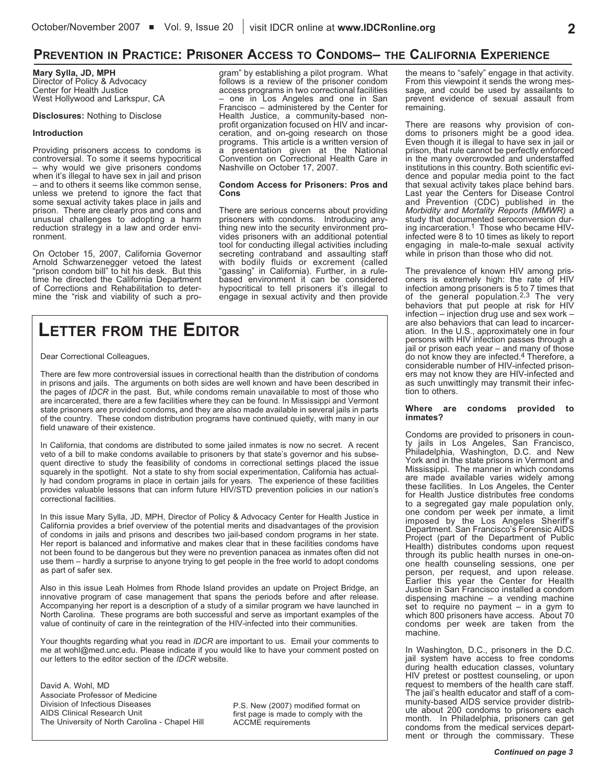# **PREVENTION IN PRACTICE: PRISONER ACCESS TO CONDOMS– THE CALIFORNIA EXPERIENCE**

**Mary Sylla, JD, MPH**

Director of Policy & Advocacy Center for Health Justice West Hollywood and Larkspur, CA

#### **Disclosures:** Nothing to Disclose

#### **Introduction**

Providing prisoners access to condoms is controversial. To some it seems hypocritical – why would we give prisoners condoms when it's illegal to have sex in jail and prison<br>- and to others it seems like common sense, unless we pretend to ignore the fact that some sexual activity takes place in jails and prison. There are clearly pros and cons and unusual challenges to adopting a harm reduction strategy in a law and order environment.

On October 15, 2007, California Governor<br>Arnold Schwarzenegger vetoed the latest "prison condom bill" to hit his desk. But this time he directed the California Department of Corrections and Rehabilitation to determine the "risk and viability of such a program" by establishing a pilot program. What follows is a review of the prisoner condom access programs in two correctional facilities – one in Los Angeles and one in San Francisco – administered by the Center for<br>Health Justice, a community-based nonprofit organization focused on HIV and incar-<br>ceration, and on-going research on those programs. This article is a written version of a presentation given at the National Convention on Correctional Health Care in Nashville on October 17, 2007.

#### **Condom Access for Prisoners: Pros and Cons**

There are serious concerns about providing<br>prisoners with condoms. Introducing anyprisoners with condoms. Introducing any- thing new into the security environment provides prisoners with an additional potential tool for conducting illegal activities including secreting contraband and assaulting staff with bodily fluids or excrement (called "gassing" in California). Further, in a rulebased environment it can be considered hypocritical to tell prisoners it's illegal to engage in sexual activity and then provide

# **LETTER FROM THE EDITOR**

Dear Correctional Colleagues,

There are few more controversial issues in correctional health than the distribution of condoms in prisons and jails. The arguments on both sides are well known and have been described in the pages of *IDCR* in the past. But, while condoms remain unavailable to most of those who are incarcerated, there are a few facilities where they can be found. In Mississippi and Vermont state prisoners are provided condoms**,** and they are also made available in several jails in parts of the country. These condom distribution programs have continued quietly, with many in our field unaware of their existence.

In California, that condoms are distributed to some jailed inmates is now no secret. A recent veto of a bill to make condoms available to prisoners by that state's governor and his subsequent directive to study the feasibility of condoms in correctional settings placed the issue squarely in the spotlight. Not a state to shy from social experimentation, California has actually had condom programs in place in certain jails for years. The experience of these facilities provides valuable lessons that can inform future HIV/STD prevention policies in our nation's correctional facilities.

In this issue Mary Sylla, JD, MPH, Director of Policy & Advocacy Center for Health Justice in California provides a brief overview of the potential merits and disadvantages of the provision of condoms in jails and prisons and describes two jail-based condom programs in her state. Her report is balanced and informative and makes clear that in these facilities condoms have not been found to be dangerous but they were no prevention panacea as inmates often did not use them – hardly a surprise to anyone trying to get people in the free world to adopt condoms as part of safer sex.

Also in this issue Leah Holmes from Rhode Island provides an update on Project Bridge, an innovative program of case management that spans the periods before and after release. Accompanying her report is a description of a study of a similar program we have launched in North Carolina. These programs are both successful and serve as important examples of the value of continuity of care in the reintegration of the HIV-infected into their communities.

Your thoughts regarding what you read in *IDCR* are important to us. Email your comments to me at wohl@med.unc.edu. Please indicate if you would like to have your comment posted on our letters to the editor section of the *IDCR* website.

David A. Wohl, MD Associate Professor of Medicine Division of Infectious Diseases AIDS Clinical Research Unit The University of North Carolina - Chapel Hill

P.S. New (2007) modified format on first page is made to comply with the ACCME requirements

the means to "safely" engage in that activity. From this viewpoint it sends the wrong message, and could be used by assailants to prevent evidence of sexual assault from remaining.

There are reasons why provision of con-<br>doms to prisoners might be a good idea. Even though it is illegal to have sex in jail or prison, that rule cannot be perfectly enforced in the many overcrowded and understaffed institutions in this country. Both scientific evi- dence and popular media point to the fact that sexual activity takes place behind bars. Last year the Centers for Disease Control and Prevention (CDC) published in the *Morbidity and Mortality Reports (MMWR)* a study that documented seroconversion during incarceration.<sup>1</sup> Those who became HIVinfected were 8 to 10 times as likely to report engaging in male-to-male sexual activity while in prison than those who did not.

The prevalence of known HIV among prisoners is extremely high: the rate of HIV infection among prisoners is 5 to 7 times that<br>of the general population.<sup>2,3</sup> The very behaviors that put people at risk for HIV infection – injection drug use and sex work – are also behaviors that can lead to incarceration. In the U.S., approximately one in four persons with HIV infection passes through a jail or prison each year – and many of those do not know they are infected.<sup>4</sup> Therefore, a considerable number of HIV-infected prisoners may not know they are HIV-infected and as such unwittingly may transmit their infection to others.

#### **Where are condoms provided to inmates?**

Condoms are provided to prisoners in coun-<br>ty jails in Los Angeles, San Francisco, Philadelphia, Washington, D.C. and New York and in the state prisons in Vermont and Mississippi. The manner in which condoms are made available varies widely among these facilities. In Los Angeles, the Center for Health Justice distributes free condoms to a segregated gay male population only, one condom per week per inmate, a limit imposed by the Los Angeles Sheriff's Department. San Francisco's Forensic AIDS Project (part of the Department of Public Health) distributes condoms upon request through its public health nurses in one-on- one health counseling sessions, one per person, per request, and upon release. Earlier this year the Center for Health Justice in San Francisco installed a condom dispensing machine – a vending machine set to require no payment – in a gym to which 800 prisoners have access. About 70 condoms per week are taken from the machine.

In Washington, D.C., prisoners in the D.C. jail system have access to free condoms during health education classes, voluntary HIV pretest or posttest counseling, or upon<br>request to members of the health care staff. The jail's health educator and staff of a com-<br>munity-based AIDS service provider distribute about 200 condoms to prisoners each month. In Philadelphia, prisoners can get condoms from the medical services department or through the commissary. These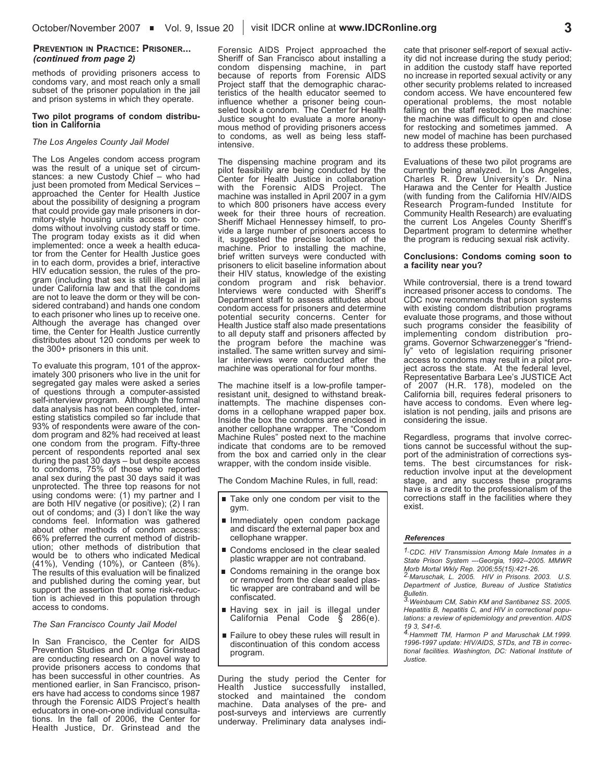#### **PREVENTION IN PRACTICE: PRISONER...** *(continued from page 2)*

methods of providing prisoners access to condoms vary, and most reach only a small subset of the prisoner population in the jail and prison systems in which they operate.

#### **Two pilot programs of condom distribution in California**

#### *The Los Angeles County Jail Model*

The Los Angeles condom access program was the result of a unique set of circumstances: a new Custody Chief – who had just been promoted from Medical Services – approached the Center for Health Justice about the possibility of designing a program that could provide gay male prisoners in dormitory-style housing units access to con-<br>doms without involving custody staff or time.<br>The program today exists as it did when implemented: once <sup>a</sup> week <sup>a</sup> health educa- tor from the Center for Health Justice goes in to each dorm, provides a brief, interactive HIV education session, the rules of the program (including that sex is still illegal in jail under California law and that the condoms sidered contraband) and hands one condom to each prisoner who lines up to receive one. Although the average has changed over time, the Center for Health Justice currently distributes about 120 condoms per week to the 300+ prisoners in this unit.

To evaluate this program, <sup>101</sup> of the approx- imately <sup>300</sup> prisoners who live in the unit for segregated gay males were asked a series of questions through a computer-assisted self-interview program. Although the formal data analysis has not been completed, interesting statistics compiled so far include that 93% of respondents were aware of the condom program and 82% had received at least one condom from the program. Fifty-three percent of respondents reported anal sex during the past 30 days – but despite access to condoms, 75% of those who reported anal sex during the past 30 days said it was unprotected. The three top reasons for not using condoms were: (1) my partner and I are both HIV negative (or positive); (2) I ran out of condoms; and (3) I don't like the way condoms feel. Information was gathered about other methods of condom access: 66% preferred the current method of distribution; other methods of distribution that would be to others who indicated Medical (41%), Vending (10%), or Canteen (8%). The results of this evaluation will be finalized and published during the coming year, but support the assertion that some risk-reduction is achieved in this population through access to condoms.

#### *The San Francisco County Jail Model*

In San Francisco, the Center for AIDS Prevention Studies and Dr. Olga Grinstead are conducting research on a novel way to provide prisoners access to condoms that has been successful in other countries. As mentioned earlier, in San Francisco, prisoners have had access to condoms since 1987 through the Forensic AIDS Project's health educators in one-on-one individual consultations. In the fall of 2006, the Center for Health Justice, Dr. Grinstead and the

Forensic AIDS Project approached the Sheriff of San Francisco about installing a condom dispensing machine, in part because of reports from Forensic AIDS Project staff that the demographic characteristics of the health educator seemed to influence whether <sup>a</sup> prisoner being coun- seled took <sup>a</sup> condom. The Center for Health Justice sought to evaluate a more anonymous method of providing prisoners access to condoms, as well as being less staff-<br>intensive.

The dispensing machine program and its pilot feasibility are being conducted by the Center for Health Justice in collaboration with the Forensic AIDS Project. The machine was installed in April 2007 in a gym to which 800 prisoners have access every<br>week for their three hours of recreation. Sheriff Michael Hennessey himself, to pro- vide a large number of prisoners access to it, suggested the precise location of the machine. Prior to installing the machine, brief written surveys were conducted with prisoners to elicit baseline information about their HIV status, knowledge of the existing condom program and risk behavior. Interviews were conducted with Sheriff's Department staff to assess attitudes about condom access for prisoners and determine potential security concerns. Center for Health Justice staff also made presentations to all deputy staff and prisoners affected by the program before the machine was installed. The same written survey and simi- lar interviews were conducted after the machine was operational for four months.

The machine itself is a low-profile tamper-<br>resistant unit, designed to withstand breakinattempts. The machine dispenses con-<br>doms in a cellophane wrapped paper box. Inside the box the condoms are enclosed in another cellophane wrapper. The "Condom Machine Rules" posted next to the machine indicate that condoms are to be removed from the box and carried only in the clear wrapper, with the condom inside visible.

The Condom Machine Rules, in full, read:

- Take only one condom per visit to the gym.
- **Inmediately open condom package** and discard the external paper box and cellophane wrapper.
- Condoms enclosed in the clear sealed plastic wrapper are not contraband.
- Condoms remaining in the orange box<br>or removed from the clear sealed plastic wrapper are contraband and will be confiscated.
- Having sex in jail is illegal under California Penal Code § 286(e).
- Failure to obey these rules will result in discontinuation of this condom access program.

During the study period the Center for Health Justice successfully installed, stocked and maintained the condom machine. Data analyses of the pre- and post-surveys and interviews are currently underway. Preliminary data analyses indicate that prisoner self-report of sexual activ- ity did not increase during the study period; in addition the custody staff have reported no increase in reported sexual activity or any other security problems related to increased condom access. We have encountered few operational problems, the most notable falling on the staff restocking the machine: the machine was difficult to open and close for restocking and sometimes jammed. A new model of machine has been purchased to address these problems.

Evaluations of these two pilot programs are currently being analyzed. In Los Angeles, Charles R. Drew University's Dr. Nina Harawa and the Center for Health Justice (with funding from the California HIV/AIDS Research Program-funded Institute for Community Health Research) are evaluating the current Los Angeles County Sheriff's Department program to determine whether the program is reducing sexual risk activity.

#### **Conclusions: Condoms coming soon to a facility near you?**

While controversial, there is a trend toward increased prisoner access to condoms. The CDC now recommends that prison systems with existing condom distribution programs evaluate those programs, and those without such programs consider the feasibility of<br>implementing condom distribution programs. Governor Schwarzenegger's "friendly" veto of legislation requiring prisoner<br>access to condoms may result in a pilot project across the state. At the federal level, Representative Barbara Lee's JUSTICE Act of 2007 (H.R. 178), modeled on the California bill, requires federal prisoners to have access to condoms. Even where legislation is not pending, jails and prisons are considering the issue.

Regardless, programs that involve correc- tions cannot be successful without the support of the administration of corrections sys-<br>tems. The best circumstances for riskreduction involve input at the development stage, and any success these programs have is a credit to the professionalism of the corrections staff in the facilities where they exist.

#### *References*

*1. CDC. HIV Transmission Among Male Inmates in a State Prison System ---Georgia, 1992--2005. MMWR*

*Morb Mortal Wkly Rep. 2006;55(15):421-26. 2. Maruschak, L. 2005. HIV in Prisons. 2003. U.S. Department of Justice, Bureau of Justice Statistics*

*Bulletin. 3. Weinbaum CM, Sabin KM and Santibanez SS. 2005. Hepatitis B, hepatitis C, and HIV in correctional populations: a review of epidemiology and prevention. AIDS*

*<sup>19</sup> 3, S41-6. 4. Hammett TM, Harmon P and Maruschak LM.1999. 1996-1997 update: HIV/AIDS, STDs, and TB in correctional facilities. Washington, DC: National Institute of Justice.*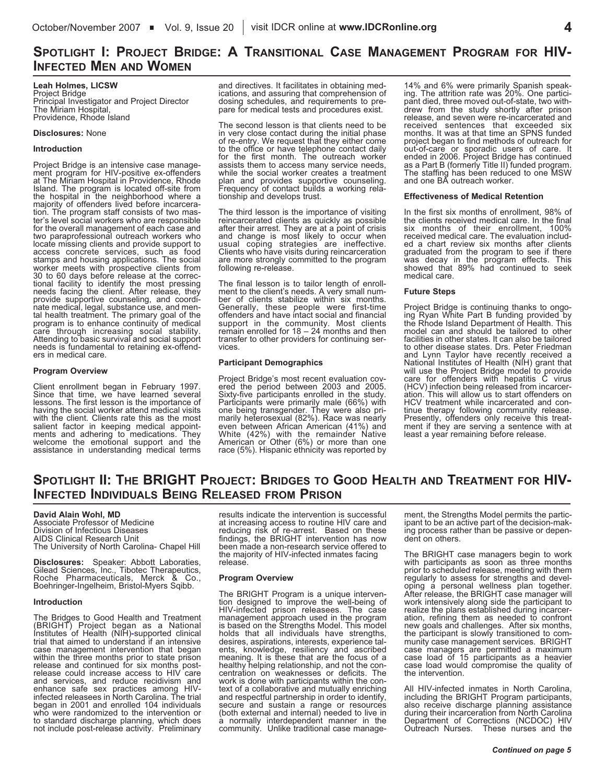# **SPOTLIGHT I: PROJECT BRIDGE: <sup>A</sup> TRANSITIONAL CASE MANAGEMENT PROGRAM FOR HIV- INFECTED MEN AND WOMEN**

#### **Leah Holmes, LICSW** Project Bridge Principal Investigator and Project Director Providence, Rhode Island

#### **Disclosures:** None

#### **Introduction**

Project Bridge is an intensive case manage- ment program for HIV-positive ex-offenders at The Miriam Hospital in Providence, Rhode Island. The program is located off-site from the hospital in the neighborhood where a tion. The program staff consists of two mas-<br>ter's level social workers who are responsible for the overall management of each case and two paraprofessional outreach workers who locate missing clients and provide support to access concrete services, such as food worker meets with prospective clients from<br>30 to 60 days before release at the correc-<sup>30</sup> to <sup>60</sup> days before release at the correc- tional facility to identify the most pressing needs facing the client. After release, they provide supportive counseling, and coordi-<br>nate medical, legal, substance use, and men-<br>tal health treatment. The primary goal of the program is to enhance continuity of medical care through increasing social stability.<br>Attending to basic survival and social support needs is fundamental to retaining ex-offend- ers in medical care.

#### **Program Overview**

Client enrollment began in February 1997. Since that time, we have learned several lessons. The first lesson is the importance of having the social worker attend medical visits with the client. Clients rate this as the most salient factor in keeping medical appoint- ments and adhering to medications. They welcome the emotional support and the assistance in understanding medical terms and directives. It facilitates in obtaining medications, and assuring that comprehension of dosing schedules, and requirements to prepare for medical tests and procedures exist.

The second lesson is that clients need to be in very close contact during the initial phase of re-entry. We request that they either come to the office or have telephone contact daily for the first month. The outreach worker assists them to access many service needs, while the social worker creates <sup>a</sup> treatment Frequency of contact builds a working rela-<br>tionship and develops trust.

The third lesson is the importance of visiting reincarcerated clients as quickly as possible after their arrest. They are at a point of crisis and change is most likely to occur when usual coping strategies are ineffective.<br>Clients who have visits during reincarceration are more strongly committed to the program following re-release.

The final lesson is to tailor length of enroll-<br>ment to the client's needs. A very small num-<br>ber of clients stabilize within six months.<br>Generally, these people were first-time offenders and have intact social and financial support in the community. Most clients remain enrolled for  $18 - 24$  months and then transfer to other providers for continuing ser- vices.

#### **Participant Demographics**

Project Bridge's most recent evaluation covered the period between 2003 and 2005.<br>Sixty-five participants enrolled in the study.<br>Participants were primarily male (66%) with one being transgender. They were also pri- marily heterosexual (82%). Race was nearly even between African American (41%) and White (42%) with the remainder Native American or Other (6%) or more than one race (5%). Hispanic ethnicity was reported by 14% and 6% were primarily Spanish speaking. The attrition rate was 20%. One partici-<br>pant died, three moved out-of-state, two with-<br>drew from the study shortly after prison release, and seven were re-incarcerated and received sentences that exceeded six months. It was at that time an SPNS funded project began to find methods of outreach for out-of-care or sporadic users of care. It ended in 2006. Project Bridge has continued as <sup>a</sup> Part <sup>B</sup> (formerly Title II) funded program. The staffing has been reduced to one MSW and one BA outreach worker.

#### **Effectiveness of Medical Retention**

In the first six months of enrollment, 98% of the clients received medical care. In the final six months of their enrollment, 100% received medical care. The evaluation included a chart review six months after clients graduated from the program to see if there was decay in the program effects. This showed that 89% had continued to seek medical care.

#### **Future Steps**

Project Bridge is continuing thanks to ongo-<br>ing Ryan White Part B funding provided by the Rhode Island Department of Health. This model can and should be tailored to other facilities in other states. It can also be tailored to other disease states. Drs. Peter Friedman and Lynn Taylor have recently received a National Institutes of Health (NIH) grant that will use the Project Bridge model to provide care for offenders with hepatitis C virus (HCV) infection being released from incarcer-<br>ation. This will allow us to start offenders on<br>HCV treatment while incarcerated and continue therapy following community release.<br>Presently, offenders only receive this treat-<br>ment if they are serving a sentence with at least a year remaining before release.

# **SPOTLIGHT II: THE BRIGHT PROJECT: BRIDGES TO GOOD HEALTH AND TREATMENT FOR HIV-INFECTED INDIVIDUALS BEING RELEASED FROM PRISON**

#### **David Alain Wohl, MD**

Associate Professor of Medicine Division of Infectious Diseases AIDS Clinical Research Unit The University of North Carolina- Chapel Hill

**Disclosures:** Speaker: Abbott Laboraties, Gilead Sciences, Inc., Tibotec Therapeutics, Roche Pharmaceuticals, Merck & Co., Boehringer-Ingelheim, Bristol-Myers Sqibb.

#### **Introduction**

The Bridges to Good Health and Treatment (BRIGHT) Project began as a National Institutes of Health (NIH)**-**supported clinical trial that aimed to understand if an intensive case management intervention that began within the three months prior to state prison release and continued for six months post- release could increase access to HIV care and services, and reduce recidivism and<br>enhance safe sex practices among HIVinfected releasees in North Carolina. The trial<br>began in 2001 and enrolled 104 individuals who were randomized to the intervention or to standard discharge planning, which does not include post-release activity. Preliminary

results indicate the intervention is successful at increasing access to routine HIV care and reducing risk of re-arrest. Based on these<br>findings, the BRIGHT intervention has now findings, the BRIGHT intervention has now been made <sup>a</sup> non-research service offered to the majority of HIV-infected inmates facing release.

#### **Program Overview**

The BRIGHT Program is a unique interven-<br>tion designed to improve the well-being of HIV-infected prison releasees. The case management approach used in the program is based on the Strengths Model. This model holds that all individuals have strengths,<br>desires, aspirations, interests, experience tal-<br>ents, knowledge, resiliency and ascribed ents, knowledge, resiliency and ascribed<br>meaning. It is these that are the focus of a<br>healthy helping relationship, and not the concentration on weaknesses or deficits. The work is done with participants within the context of a collaborative and mutually enriching and respectful partnership in order to identify, secure and sustain a range or resources (both external and internal) needed to live in a normally interdependent manner in the community. Unlike traditional case management, the Strengths Model permits the partic-<br>ipant to be an active part of the decision-mak-<br>ing process rather than be passive or depen-<br>dent on others.

The BRIGHT case managers begin to work with participants as soon as three months prior to scheduled release, meeting with them regularly to assess for strengths and devel-<br>oping a personal wellness plan together.<br>After release, the BRIGHT case manager will<br>work intensively along side the participant to<br>realize the plans established during incarcer ation, refining them as needed to confront new goals and challenges. After six months, the participant is slowly transitioned to com-<br>munity case management services. BRIGHT case managers are permitted a maximum case load of 15 participants as a heavier case load would compromise the quality of the intervention.

All HIV-infected inmates in North Carolina, including the BRIGHT Program participants, also receive discharge planning assistance during their incarceration from North Carolina Department of Corrections (NCDOC) HIV Outreach Nurses. These nurses and the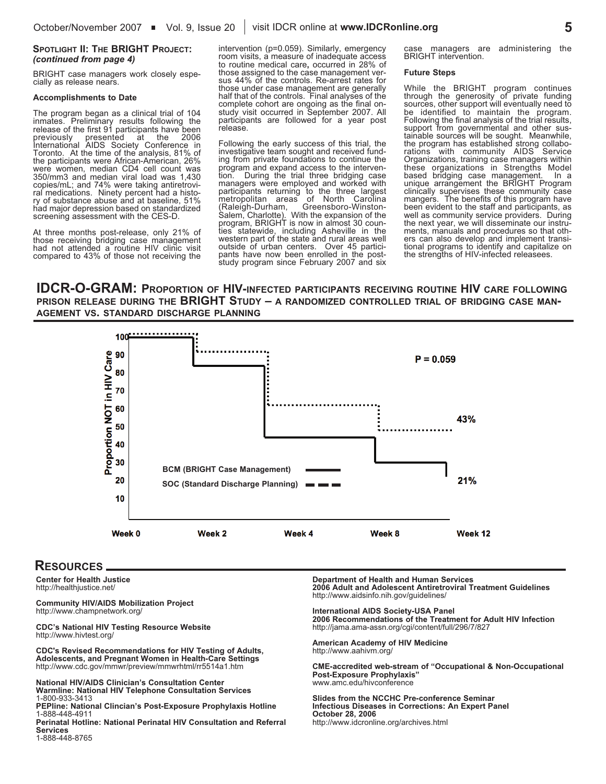#### **SPOTLIGHT II: THE BRIGHT PROJECT:** *(continued from page 4)*

BRIGHT case managers work closely espe- cially as release nears.

#### **Accomplishments to Date**

The program began as a clinical trial of 104 inmates. Preliminary results following the release of the first 91 participants have been previously presented at the 2006 International AIDS Society Conference in Toronto. At the time of the analysis, 81% of the participants were African-American, 26% were women, median CD4 cell count was 350/mm3 and median viral load was 1,430 ral medications. Ninety percent had a histo- ry of substance abuse and at baseline, 51% had major depression based on standardized screening assessment with the CES-D.

At three months post-release, only 21% of those receiving bridging case management had not attended a routine HIV clinic visit compared to 43% of those not receiving the

intervention (p=0.059). Similarly, emergency room visits, a measure of inadequate access to routine medical care**,** occurred in 28% of sus 44% of the controls. Re-arrest rates for those under case management are generally half that of the controls. Final analyses of the complete cohort are ongoing as the final on- study visit occurred in September 2007. All participants are followed for a year post release.

Following the early success of this trial, the investigative team sought and received funding from private foundations to continue the program and expand access to the interven- tion. During the trial three bridging case managers were employed and worked with participants returning to the three largest metropolitan areas of North Carolina (Raleigh-Durham, Greensboro-Winston-<br>Salem, Charlotte). With the expansion of the<br>program, BRIGHT is now in almost 30 counties statewide, including Asheville in the western part of the state and rural areas well outside of urban centers. Over 45 participants have now been enrolled in the post-<br>study program since February 2007 and six

managers are administering the BRIGHT intervention.

#### **Future Steps**

While the BRIGHT program continues through the generosity of private funding sources, other support will eventually need to<br>be identified to maintain the program. be identified to maintain the program.<br>Following the final analysis of the trial results,<br>support from governmental and other sus-<br>tainable sources will be sought. Meanwhile,<br>the program has established strong collabo-<br>rat Organizations, training case managers within these organizations in Strengths Model based bridging case management. In a unique arrangement the BRIGHT Program clinically supervises these community case mangers. The benefits of this program have been evident to the staff and participants, as well as community service providers. During ments, manuals and procedures so that oth-<br>ers can also develop and implement transi-<br>tional programs to identify and capitalize on the strengths of HIV-infected releasees.

**IDCR-O-GRAM: PROPORTION OF HIV-INFECTED PARTICIPANTS RECEIVING ROUTINE HIV CARE FOLLOWING PRISON RELEASE DURING THE BRIGHT STUDY – A RANDOMIZED CONTROLLED TRIAL OF BRIDGING CASE MAN- AGEMENT VS. STANDARD DISCHARGE PLANNING**



### **RESOURCES**

**Center for Health Justice** http://healthjustice.net/

**Community HIV/AIDS Mobilization Project** http://www.champnetwork.org/

**CDC's National HIV Testing Resource Website** http://www.hivtest.org/

**CDC's Revised Recommendations for HIV Testing of Adults, Adolescents, and Pregnant Women in Health-Care Settings** http://www.cdc.gov/mmwr/preview/mmwrhtml/rr5514a1.htm

**National HIV/AIDS Clinician's Consultation Center Warmline: National HIV Telephone Consultation Services** 1-800-933-3413

**PEPline: National Clincian's Post-Exposure Prophylaxis Hotline** 1-888-448-4911

**Perinatal Hotline: National Perinatal HIV Consultation and Referral Services** 1-888-448-8765

**Department of Health and Human Services 2006 Adult and Adolescent Antiretroviral Treatment Guidelines** http://www.aidsinfo.nih.gov/guidelines/

**International AIDS Society-USA Panel**

**2006 Recommendations of the Treatment for Adult HIV Infection** http://jama.ama-assn.org/cgi/content/full/296/7/827

**American Academy of HIV Medicine** http://www.aahivm.org/

**CME-accredited web-stream of "Occupational & Non-Occupational Post-Exposure Prophylaxis"** www.amc.edu/hivconference

**Slides from the NCCHC Pre-conference Seminar Infectious Diseases in Corrections: An Expert Panel October 28, 2006** http://www.idcronline.org/archives.html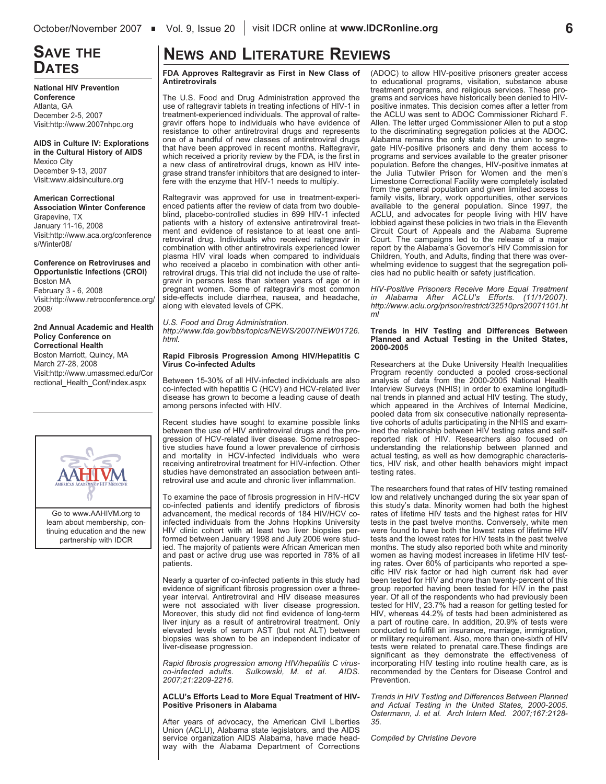# **SAVE THE**

**National HIV Prevention Conference** Atlanta, GA December 2-5, 2007 Visit:http://www.2007nhpc.org

**AIDS in Culture IV: Explorations in the Cultural History of AIDS** Mexico City December 9-13, 2007 Visit:www.aidsinculture.org

**American Correctional Association Winter Conference** Grapevine, TX January 11-16, 2008 Visit:http://www.aca.org/conference s/Winter08/

**Conference on Retroviruses and Opportunistic Infections (CROI)** Boston MA February 3 - 6, 2008 Visit:http://www.retroconference.org/ 2008/

**2nd Annual Academic and Health Policy Conference on Correctional Health**

Boston Marriott, Quincy, MA March 27-28, 2008 Visit:http://www.umassmed.edu/Cor rectional\_Health\_Conf/index.aspx



Go to www.AAHIVM.org to learn about membership, continuing education and the new partnership with IDCR

# **NEWS AND LITERATURE REVIEWS**

**DATES FDA Approves Raltegravir as First in New Class of Antiretrovirals**

The U.S. Food and Drug Administration approved the use of raltegravir tablets in treating infections of HIV-1 in treatment-experienced individuals. The approval of raltegravir offers hope to individuals who have evidence of resistance to other antiretroviral drugs and represents one of a handful of new classes of antiretroviral drugs that have been approved in recent months. Raltegravir, which received a priority review by the FDA, is the first in a new class of antiretroviral drugs, known as HIV integrase strand transfer inhibitors that are designed to interfere with the enzyme that HIV-1 needs to multiply.

Raltegravir was approved for use in treatment-experienced patients after the review of data from two doubleblind, placebo-controlled studies in 699 HIV-1 infected patients with a history of extensive antiretroviral treatment and evidence of resistance to at least one antiretroviral drug. Individuals who received raltegravir in combination with other antiretrovirals experienced lower plasma HIV viral loads when compared to individuals who received a placebo in combination with other antiretroviral drugs. This trial did not include the use of raltegravir in persons less than sixteen years of age or in pregnant women. Some of raltegravir's most common side-effects include diarrhea, nausea, and headache, along with elevated levels of CPK.

*U.S. Food and Drug Administration. http://www.fda.gov/bbs/topics/NEWS/2007/NEW01726. html.*

#### **Rapid Fibrosis Progression Among HIV/Hepatitis C Virus Co-infected Adults**

Between 15-30% of all HIV-infected individuals are also co-infected with hepatitis C (HCV) and HCV-related liver disease has grown to become a leading cause of death among persons infected with HIV.

Recent studies have sought to examine possible links between the use of HIV antiretroviral drugs and the progression of HCV-related liver disease. Some retrospective studies have found a lower prevalence of cirrhosis and mortality in HCV-infected individuals who were receiving antiretroviral treatment for HIV-infection. Other studies have demonstrated an association between antiretroviral use and acute and chronic liver inflammation.

To examine the pace of fibrosis progression in HIV-HCV co-infected patients and identify predictors of fibrosis advancement, the medical records of 184 HIV/HCV coinfected individuals from the Johns Hopkins University HIV clinic cohort with at least two liver biopsies performed between January 1998 and July 2006 were studied. The majority of patients were African American men and past or active drug use was reported in 78% of all patients.

Nearly a quarter of co-infected patients in this study had evidence of significant fibrosis progression over a threeyear interval. Antiretroviral and HIV disease measures were not associated with liver disease progression. Moreover, this study did not find evidence of long-term liver injury as a result of antiretroviral treatment. Only elevated levels of serum AST (but not ALT) between biopsies was shown to be an independent indicator of liver-disease progression.

*Rapid fibrosis progression among HIV/hepatitis C virus-* $Sulkowski, M. et al.$ *2007;21:2209-2216.*

#### **ACLU's Efforts Lead to More Equal Treatment of HIV-Positive Prisoners in Alabama**

After years of advocacy, the American Civil Liberties Union (ACLU), Alabama state legislators, and the AIDS service organization AIDS Alabama, have made headway with the Alabama Department of Corrections (ADOC) to allow HIV-positive prisoners greater access to educational programs, visitation, substance abuse treatment programs, and religious services. These programs and services have historically been denied to HIVpositive inmates. This decision comes after a letter from the ACLU was sent to ADOC Commissioner Richard F. Allen. The letter urged Commissioner Allen to put a stop to the discriminating segregation policies at the ADOC. Alabama remains the only state in the union to segregate HIV-positive prisoners and deny them access to programs and services available to the greater prisoner population. Before the changes, HIV-positive inmates at the Julia Tutwiler Prison for Women and the men's Limestone Correctional Facility were completely isolated from the general population and given limited access to family visits, library, work opportunities, other services available to the general population. Since 1997, the ACLU, and advocates for people living with HIV have lobbied against these policies in two trials in the Eleventh Circuit Court of Appeals and the Alabama Supreme Court. The campaigns led to the release of a major report by the Alabama's Governor's HIV Commission for Children, Youth, and Adults, finding that there was overwhelming evidence to suggest that the segregation policies had no public health or safety justification.

*HIV-Positive Prisoners Receive More Equal Treatment in Alabama After ACLU's Efforts. (11/1/2007). http://www.aclu.org/prison/restrict/32510prs20071101.ht ml*

#### **Trends in HIV Testing and Differences Between Planned and Actual Testing in the United States, 2000-2005**

Researchers at the Duke University Health Inequalities Program recently conducted a pooled cross-sectional analysis of data from the 2000-2005 National Health Interview Surveys (NHIS) in order to examine longitudinal trends in planned and actual HIV testing. The study, which appeared in the Archives of Internal Medicine. pooled data from six consecutive nationally representative cohorts of adults participating in the NHIS and examined the relationship between HIV testing rates and selfreported risk of HIV. Researchers also focused on understanding the relationship between planned and actual testing, as well as how demographic characteristics, HIV risk, and other health behaviors might impact testing rates.

The researchers found that rates of HIV testing remained low and relatively unchanged during the six year span of this study's data. Minority women had both the highest rates of lifetime HIV tests and the highest rates for HIV tests in the past twelve months. Conversely, white men were found to have both the lowest rates of lifetime HIV tests and the lowest rates for HIV tests in the past twelve months. The study also reported both white and minority women as having modest increases in lifetime HIV testing rates. Over 60% of participants who reported a specific HIV risk factor or had high current risk had ever been tested for HIV and more than twenty-percent of this group reported having been tested for HIV in the past year. Of all of the respondents who had previously been tested for HIV, 23.7% had a reason for getting tested for HIV, whereas 44.2% of tests had been administered as a part of routine care. In addition, 20.9% of tests were conducted to fulfill an insurance, marriage, immigration, or military requirement. Also, more than one-sixth of HIV tests were related to prenatal care.These findings are significant as they demonstrate the effectiveness of incorporating HIV testing into routine health care, as is recommended by the Centers for Disease Control and Prevention.

*Trends in HIV Testing and Differences Between Planned and Actual Testing in the United States, 2000-2005. Ostermann, J. et al. Arch Intern Med. 2007;167:2128- 35.*

*Compiled by Christine Devore*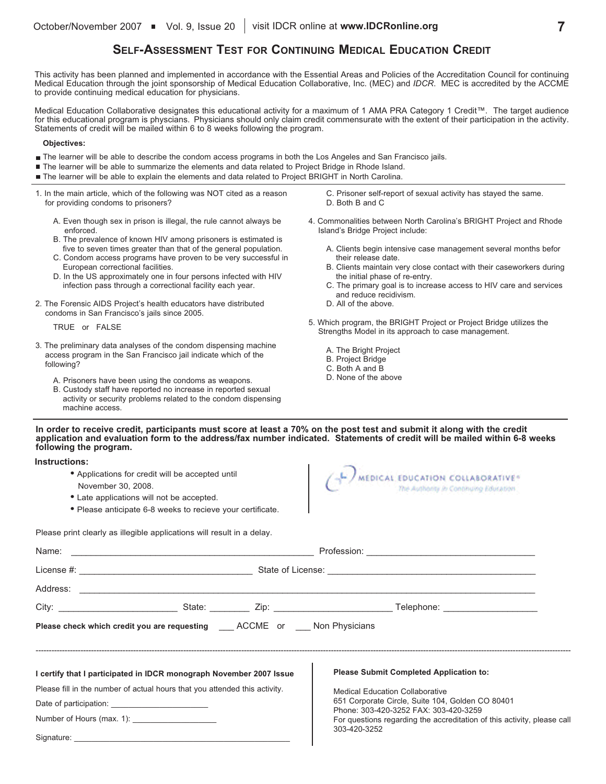## **SELF-ASSESSMENT TEST FOR CONTINUING MEDICAL EDUCATION CREDIT**

This activity has been planned and implemented in accordance with the Essential Areas and Policies of the Accreditation Council for continuing Medical Education through the joint sponsorship of Medical Education Collaborative, Inc. (MEC) and *IDCR*. MEC is accredited by the ACCME to provide continuing medical education for physicians.

Medical Education Collaborative designates this educational activity for a maximum of 1 AMA PRA Category 1 Credit™. The target audience for this educational program is physcians. Physicians should only claim credit commensurate with the extent of their participation in the activity. Statements of credit will be mailed within 6 to 8 weeks following the program.

#### **Objectives:**

- The learner will be able to describe the condom access programs in both the Los Angeles and San Francisco jails.
- The learner will be able to summarize the elements and data related to Project Bridge in Rhode Island.
- The learner will be able to explain the elements and data related to Project BRIGHT in North Carolina.
- 1. In the main article, which of the following was NOT cited as a reason for providing condoms to prisoners?
	- A. Even though sex in prison is illegal, the rule cannot always be enforced.
	- B. The prevalence of known HIV among prisoners is estimated is five to seven times greater than that of the general population.
	- C. Condom access programs have proven to be very successful in European correctional facilities.
	- D. In the US approximately one in four persons infected with HIV infection pass through a correctional facility each year.
- 2. The Forensic AIDS Project's health educators have distributed condoms in San Francisco's jails since 2005.

TRUE or FALSE

- 3. The preliminary data analyses of the condom dispensing machine access program in the San Francisco jail indicate which of the following?
	- A. Prisoners have been using the condoms as weapons.
	- B. Custody staff have reported no increase in reported sexual activity or security problems related to the condom dispensing machine access.

C. Prisoner self-report of sexual activity has stayed the same. D. Both B and C

- 4. Commonalities between North Carolina's BRIGHT Project and Rhode Island's Bridge Project include:
	- A. Clients begin intensive case management several months befor their release date.
	- B. Clients maintain very close contact with their caseworkers during the initial phase of re-entry.
	- C. The primary goal is to increase access to HIV care and services and reduce recidivism.
	- D. All of the above.
- 5. Which program, the BRIGHT Project or Project Bridge utilizes the Strengths Model in its approach to case management.
	- A. The Bright Project
	- B. Project Bridge
	- C. Both A and B
	- D. None of the above

#### In order to receive credit, participants must score at least a 70% on the post test and submit it along with the credit application and evaluation form to the address/fax number indicated. Statements of credit will be mailed within 6-8 weeks **following the program.**

**Instructions:**

- **•** Applications for credit will be accepted until November 30, 2008.
- **•** Late applications will not be accepted.
- **•** Please anticipate 6-8 weeks to recieve your certificate.



Please print clearly as illegible applications will result in a delay.

| Please check which credit you are requesting ____ ACCME or ___ Non Physicians |  |  |                                                                                           |  |  |  |
|-------------------------------------------------------------------------------|--|--|-------------------------------------------------------------------------------------------|--|--|--|
|                                                                               |  |  |                                                                                           |  |  |  |
| I certify that I participated in IDCR monograph November 2007 Issue           |  |  | <b>Please Submit Completed Application to:</b>                                            |  |  |  |
| Please fill in the number of actual hours that you attended this activity.    |  |  | <b>Medical Education Collaborative</b>                                                    |  |  |  |
|                                                                               |  |  | 651 Corporate Circle, Suite 104, Golden CO 80401<br>Phone: 303-420-3252 FAX: 303-420-3259 |  |  |  |
| Number of Hours (max. 1): _____________________                               |  |  | For questions regarding the accreditation of this activity, please call                   |  |  |  |
|                                                                               |  |  | 303-420-3252                                                                              |  |  |  |